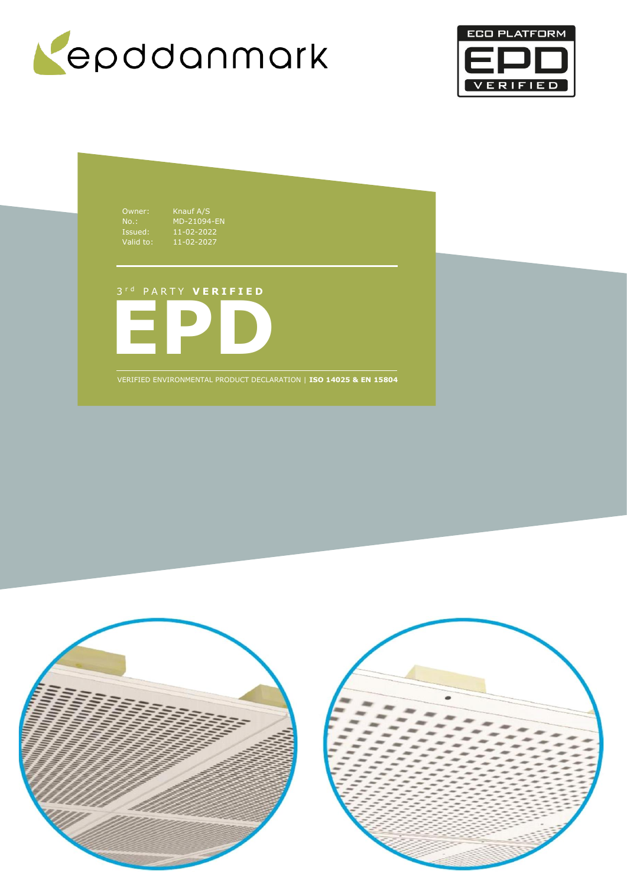



Owner: Knauf A/S Issued: 11-02-2022 Valid to: 11-02-2027

No.: MD-21094-EN

**EPD** 3 r d P A R T Y **V E R I F I E D**

VERIFIED ENVIRONMENTAL PRODUCT DECLARATION | **ISO 14025 & EN 15804**

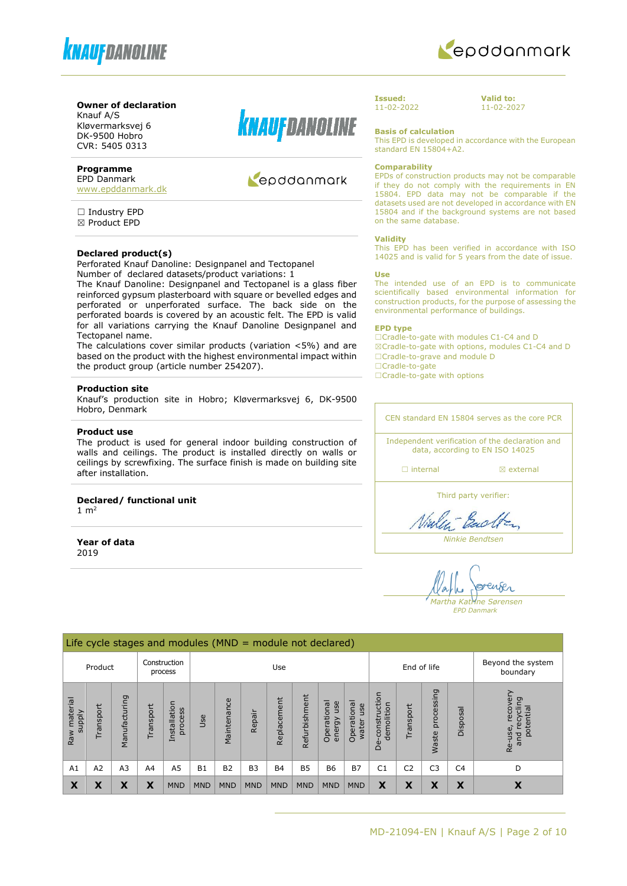



#### **Owner of declaration**

Knauf A/S Kløvermarksvej 6 DK-9500 Hobro CVR: 5405 0313

## **Programme**

EPD Danmark [www.epddanmark.dk](http://www.epddanmark.dk/)

□ Industry EPD ☒ Product EPD

#### **Declared product(s)**

Perforated Knauf Danoline: Designpanel and Tectopanel

Number of declared datasets/product variations: 1 The Knauf Danoline: Designpanel and Tectopanel is a glass fiber reinforced gypsum plasterboard with square or bevelled edges and perforated or unperforated surface. The back side on the perforated boards is covered by an acoustic felt. The EPD is valid for all variations carrying the Knauf Danoline Designpanel and Tectopanel name.

The calculations cover similar products (variation <5%) and are based on the product with the highest environmental impact within the product group (article number 254207).

#### **Production site**

Knauf's production site in Hobro; Kløvermarksvej 6, DK-9500 Hobro, Denmark

#### **Product use**

The product is used for general indoor building construction of walls and ceilings. The product is installed directly on walls or ceilings by screwfixing. The surface finish is made on building site after installation.

**Declared/ functional unit**  $1 m<sup>2</sup>$ 

**Year of data** 2019



# Repodanmark

**Issued:** 11-02-2022 **Valid to:** 11-02-2027

**Basis of calculation**

This EPD is developed in accordance with the European standard EN 15804+A2.

#### **Comparability**

EPDs of construction products may not be comparable if they do not comply with the requirements in EN 15804. EPD data may not be comparable if the datasets used are not developed in accordance with EN 15804 and if the background systems are not based on the same database.

#### **Validity**

This EPD has been verified in accordance with ISO 14025 and is valid for 5 years from the date of issue.

#### **Use**

The intended use of an EPD is to communicate scientifically based environmental information for construction products, for the purpose of assessing the environmental performance of buildings.

#### **EPD type**

☐Cradle-to-gate with modules C1-C4 and D ☒Cradle-to-gate with options, modules C1-C4 and D ☐Cradle-to-grave and module D ☐Cradle-to-gate

□Cradle-to-gate with options

CEN standard EN 15804 serves as the core PCR Independent verification of the declaration and data, according to EN ISO 14025

□ internal **a** external

Third party verifier:

Viales Each

*Ninkie Bendtsen*

enser *Martha Katrine Sørensen*

*EPD Danmark*

| Life cycle stages and modules ( $MND =$ module not declared) |                |                |           |                         |                |                |                |             |               |                              |                             |                                 |                |                            |                               |                                                      |
|--------------------------------------------------------------|----------------|----------------|-----------|-------------------------|----------------|----------------|----------------|-------------|---------------|------------------------------|-----------------------------|---------------------------------|----------------|----------------------------|-------------------------------|------------------------------------------------------|
|                                                              | Product        |                |           | Construction<br>process |                |                |                | Use         |               |                              |                             | End of life                     |                |                            | Beyond the system<br>boundary |                                                      |
| Raw material<br><b>Alddns</b>                                | $r$ ansport    | Manufacturing  | Transport | Installation<br>process | Use            | Maintenance    | Repair         | Replacement | Refurbishment | Operational<br>use<br>energy | Operational<br>use<br>water | construction<br>demolition<br>த | Transport      | processing<br><b>Waste</b> | Disposal                      | recovery<br>recycling<br>potential<br>Re-use,<br>and |
| A1                                                           | A <sub>2</sub> | A <sub>3</sub> | A4        | A <sub>5</sub>          | B <sub>1</sub> | B <sub>2</sub> | B <sub>3</sub> | <b>B4</b>   | <b>B5</b>     | <b>B6</b>                    | <b>B7</b>                   | C <sub>1</sub>                  | C <sub>2</sub> | C <sub>3</sub>             | C <sub>4</sub>                | D                                                    |
| X                                                            | X              | X              | x         | <b>MND</b>              | <b>MND</b>     | <b>MND</b>     | <b>MND</b>     | <b>MND</b>  | <b>MND</b>    | <b>MND</b>                   | <b>MND</b>                  | X                               | X              | X                          | X                             | X                                                    |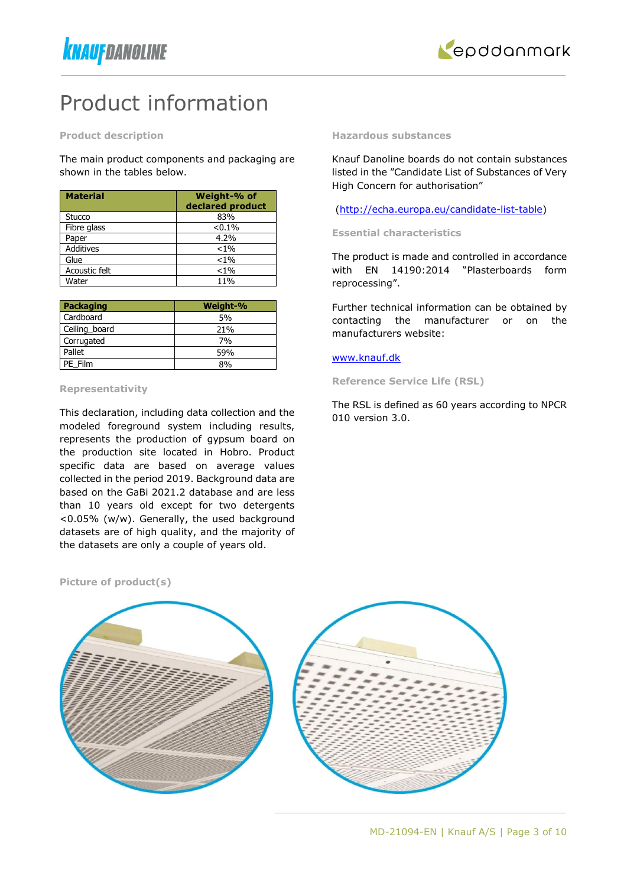

# Product information

**Product description**

The main product components and packaging are shown in the tables below.

| <b>Material</b>  | Weight-% of<br>declared product |
|------------------|---------------------------------|
| Stucco           | 83%                             |
| Fibre glass      | < 0.1%                          |
| Paper            | 4.2%                            |
| <b>Additives</b> | $< 1\%$                         |
| Glue             | $< 1\%$                         |
| Acoustic felt    | $< 1\%$                         |
| Water            | 11%                             |

| Packaging     | Weight-% |
|---------------|----------|
| Cardboard     | 5%       |
| Ceiling_board | 21%      |
| Corrugated    | 7%       |
| Pallet        | 59%      |
| PE Film       | 8%       |

#### **Representativity**

This declaration, including data collection and the modeled foreground system including results, represents the production of gypsum board on the production site located in Hobro. Product specific data are based on average values collected in the period 2019. Background data are based on the GaBi 2021.2 database and are less than 10 years old except for two detergents <0.05% (w/w). Generally, the used background datasets are of high quality, and the majority of the datasets are only a couple of years old.

**Hazardous substances**

Knauf Danoline boards do not contain substances listed in the "Candidate List of Substances of Very High Concern for authorisation"

[\(http://echa.europa.eu/candidate-list-table\)](http://echa.europa.eu/candidate-list-table)

**Essential characteristics** 

The product is made and controlled in accordance with EN 14190:2014 "Plasterboards form reprocessing".

Further technical information can be obtained by contacting the manufacturer or on the manufacturers website:

#### [www.knauf.dk](http://www.knauf.dk/)

**Reference Service Life (RSL)**

The RSL is defined as 60 years according to NPCR 010 version 3.0.

**Picture of product(s)**

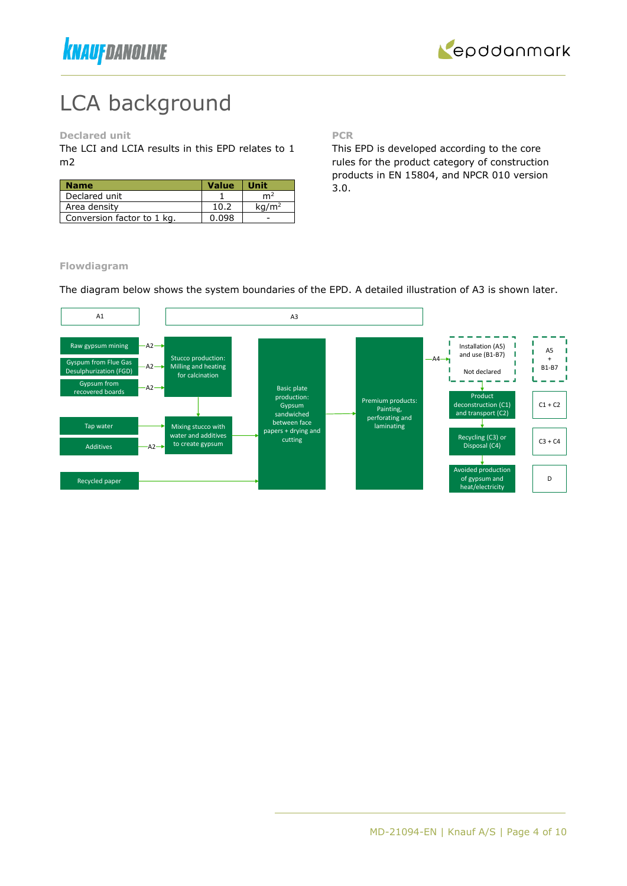



# LCA background

**Declared unit**

The LCI and LCIA results in this EPD relates to 1 m2

| <b>Name</b>                | <b>Value</b> | Unit              |
|----------------------------|--------------|-------------------|
| Declared unit              |              | m4                |
| Area density               | 10.2         | kq/m <sup>2</sup> |
| Conversion factor to 1 kg. | 0.098        |                   |

**PCR**

This EPD is developed according to the core rules for the product category of construction products in EN 15804, and NPCR 010 version 3.0.

### **Flowdiagram**

The diagram below shows the system boundaries of the EPD. A detailed illustration of A3 is shown later.

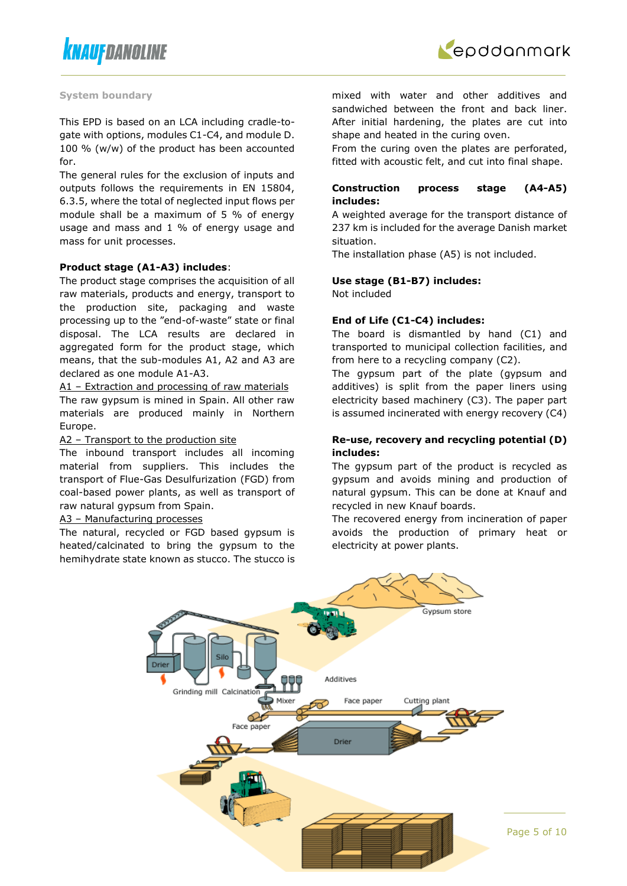



#### **System boundary**

This EPD is based on an LCA including cradle-togate with options, modules C1-C4, and module D. 100 % (w/w) of the product has been accounted for.

The general rules for the exclusion of inputs and outputs follows the requirements in EN 15804, 6.3.5, where the total of neglected input flows per module shall be a maximum of 5 % of energy usage and mass and 1 % of energy usage and mass for unit processes.

#### **Product stage (A1-A3) includes**:

The product stage comprises the acquisition of all raw materials, products and energy, transport to the production site, packaging and waste processing up to the "end-of-waste" state or final disposal. The LCA results are declared in aggregated form for the product stage, which means, that the sub-modules A1, A2 and A3 are declared as one module A1-A3.

A1 – Extraction and processing of raw materials The raw gypsum is mined in Spain. All other raw materials are produced mainly in Northern Europe.

#### A2 – Transport to the production site

The inbound transport includes all incoming material from suppliers. This includes the transport of Flue-Gas Desulfurization (FGD) from coal-based power plants, as well as transport of raw natural gypsum from Spain.

#### A3 – Manufacturing processes

The natural, recycled or FGD based gypsum is heated/calcinated to bring the gypsum to the hemihydrate state known as stucco. The stucco is mixed with water and other additives and sandwiched between the front and back liner. After initial hardening, the plates are cut into shape and heated in the curing oven.

From the curing oven the plates are perforated, fitted with acoustic felt, and cut into final shape.

### **Construction process stage (A4-A5) includes:**

A weighted average for the transport distance of 237 km is included for the average Danish market situation.

The installation phase (A5) is not included.

### **Use stage (B1-B7) includes:**

Not included

#### **End of Life (C1-C4) includes:**

The board is dismantled by hand (C1) and transported to municipal collection facilities, and from here to a recycling company (C2).

The gypsum part of the plate (gypsum and additives) is split from the paper liners using electricity based machinery (C3). The paper part is assumed incinerated with energy recovery (C4)

### **Re-use, recovery and recycling potential (D) includes:**

The gypsum part of the product is recycled as gypsum and avoids mining and production of natural gypsum. This can be done at Knauf and recycled in new Knauf boards.

The recovered energy from incineration of paper avoids the production of primary heat or electricity at power plants.

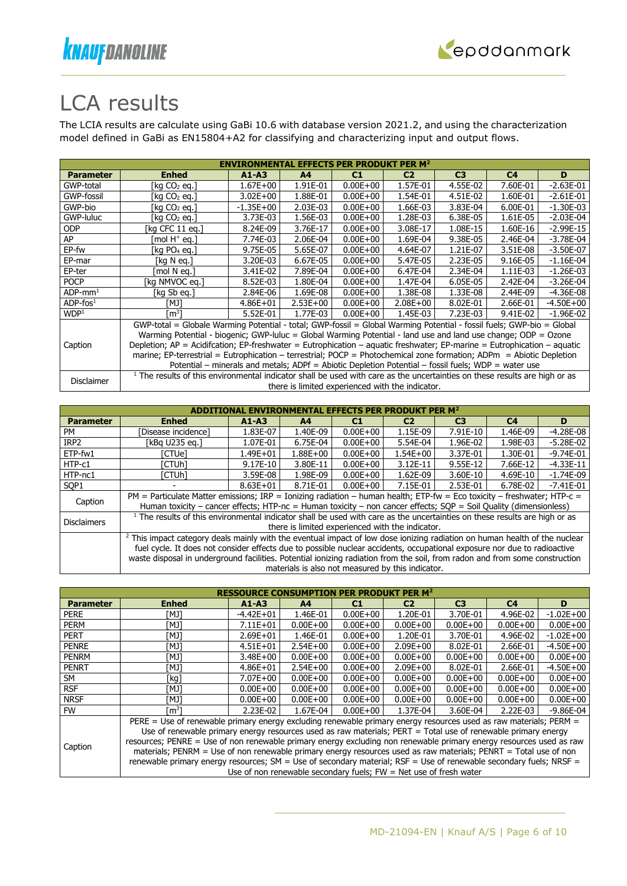



# LCA results

The LCIA results are calculate using GaBi 10.6 with database version 2021.2, and using the characterization model defined in GaBi as EN15804+A2 for classifying and characterizing input and output flows.

|                        | <b>ENVIRONMENTAL EFFECTS PER PRODUKT PER M<sup>2</sup></b>                                                     |               |                |              |                                                  |                                                                                                                                                                                                                                                                                                                                                                                                                                                                                                                                                                                                                          |                |               |  |  |
|------------------------|----------------------------------------------------------------------------------------------------------------|---------------|----------------|--------------|--------------------------------------------------|--------------------------------------------------------------------------------------------------------------------------------------------------------------------------------------------------------------------------------------------------------------------------------------------------------------------------------------------------------------------------------------------------------------------------------------------------------------------------------------------------------------------------------------------------------------------------------------------------------------------------|----------------|---------------|--|--|
| <b>Parameter</b>       | <b>Enhed</b>                                                                                                   | $A1 - A3$     | A <sup>4</sup> | C1           | C <sub>2</sub>                                   | C <sub>3</sub>                                                                                                                                                                                                                                                                                                                                                                                                                                                                                                                                                                                                           | C <sub>4</sub> | D             |  |  |
| GWP-total              | [kg CO2 eg.]                                                                                                   | $1.67E + 00$  | 1.91E-01       | $0.00E + 00$ | 1.57E-01                                         | 4.55E-02                                                                                                                                                                                                                                                                                                                                                                                                                                                                                                                                                                                                                 | 7.60E-01       | $-2.63E - 01$ |  |  |
| GWP-fossil             | [kg $CO2$ eg.]                                                                                                 | $3.02E + 00$  | 1.88E-01       | $0.00E + 00$ | 1.54E-01                                         | 4.51E-02                                                                                                                                                                                                                                                                                                                                                                                                                                                                                                                                                                                                                 | 1.60E-01       | $-2.61E-01$   |  |  |
| GWP-bio                | [kg CO2 eg.]                                                                                                   | $-1.35E + 00$ | 2.03E-03       | $0.00E + 00$ | 1.66E-03                                         | 3.83E-04                                                                                                                                                                                                                                                                                                                                                                                                                                                                                                                                                                                                                 | 6.00E-01       | $-1.30E-03$   |  |  |
| GWP-luluc              | [kg CO2 eg.]                                                                                                   | 3.73E-03      | 1.56E-03       | $0.00E + 00$ | 1.28E-03                                         | 6.38E-05                                                                                                                                                                                                                                                                                                                                                                                                                                                                                                                                                                                                                 | 1.61E-05       | $-2.03E-04$   |  |  |
| <b>ODP</b>             | [kg CFC 11 eg.]                                                                                                | 8.24E-09      | 3.76E-17       | $0.00E + 00$ | 3.08E-17                                         | 1.08E-15                                                                                                                                                                                                                                                                                                                                                                                                                                                                                                                                                                                                                 | 1.60E-16       | $-2.99E-15$   |  |  |
| AP                     | mol H <sup>+</sup> eq.]                                                                                        | 7.74E-03      | 2.06E-04       | $0.00E + 00$ | 1.69E-04                                         | 9.38E-05                                                                                                                                                                                                                                                                                                                                                                                                                                                                                                                                                                                                                 | 2.46E-04       | $-3.78E - 04$ |  |  |
| EP-fw                  | [kg $PO4$ eg.]                                                                                                 | 9.75E-05      | 5.65E-07       | $0.00E + 00$ | 4.64E-07                                         | 1.21E-07                                                                                                                                                                                                                                                                                                                                                                                                                                                                                                                                                                                                                 | 3.51E-08       | $-3.50E-07$   |  |  |
| EP-mar                 | [kg N eg.]                                                                                                     | 3.20E-03      | 6.67E-05       | $0.00E + 00$ | 5.47E-05                                         | 2.23E-05                                                                                                                                                                                                                                                                                                                                                                                                                                                                                                                                                                                                                 | 9.16E-05       | $-1.16E-04$   |  |  |
| EP-ter                 | mol N ea.1                                                                                                     | 3.41E-02      | 7.89E-04       | $0.00E + 00$ | 6.47E-04                                         | 2.34E-04                                                                                                                                                                                                                                                                                                                                                                                                                                                                                                                                                                                                                 | 1.11E-03       | $-1.26E-03$   |  |  |
| <b>POCP</b>            | [kg NMVOC eg.]                                                                                                 | 8.52E-03      | 1.80E-04       | $0.00E + 00$ | 1.47E-04                                         | 6.05E-05                                                                                                                                                                                                                                                                                                                                                                                                                                                                                                                                                                                                                 | 2.42E-04       | $-3.26E - 04$ |  |  |
| $ADP$ -mm <sup>1</sup> | [kg Sb eg.]                                                                                                    | 2.84E-06      | 1.69E-08       | $0.00E + 00$ | 1.38E-08                                         | 1.33E-08                                                                                                                                                                                                                                                                                                                                                                                                                                                                                                                                                                                                                 | 2.44E-09       | $-4.36E - 08$ |  |  |
| $ADP$ -fos $1$         | [MJ]                                                                                                           | $4.86E + 01$  | $2.53E+00$     | $0.00E + 00$ | $2.08E + 00$                                     | 8.02E-01                                                                                                                                                                                                                                                                                                                                                                                                                                                                                                                                                                                                                 | 2.66E-01       | $-4.50E + 00$ |  |  |
| WDP <sup>1</sup>       | [m <sup>3</sup> ]                                                                                              | 5.52E-01      | 1.77E-03       | $0.00E + 00$ | 1.45E-03                                         | 7.23E-03                                                                                                                                                                                                                                                                                                                                                                                                                                                                                                                                                                                                                 | 9.41E-02       | $-1.96E-02$   |  |  |
|                        |                                                                                                                |               |                |              |                                                  |                                                                                                                                                                                                                                                                                                                                                                                                                                                                                                                                                                                                                          |                |               |  |  |
|                        | Warming Potential - biogenic; GWP-luluc = Global Warming Potential - land use and land use change; ODP = Ozone |               |                |              |                                                  |                                                                                                                                                                                                                                                                                                                                                                                                                                                                                                                                                                                                                          |                |               |  |  |
| Caption                |                                                                                                                |               |                |              |                                                  |                                                                                                                                                                                                                                                                                                                                                                                                                                                                                                                                                                                                                          |                |               |  |  |
|                        |                                                                                                                |               |                |              |                                                  |                                                                                                                                                                                                                                                                                                                                                                                                                                                                                                                                                                                                                          |                |               |  |  |
|                        |                                                                                                                |               |                |              |                                                  | GWP-total = Globale Warming Potential - total; GWP-fossil = Global Warming Potential - fossil fuels; GWP-bio = Global<br>Depletion; AP = Acidifcation; EP-freshwater = Eutrophication – aquatic freshwater; EP-marine = Eutrophication – aquatic<br>marine; EP-terrestrial = Eutrophication - terrestrial; POCP = Photochemical zone formation; ADPm = Abiotic Depletion<br>Potential – minerals and metals; ADPf = Abiotic Depletion Potential – fossil fuels; WDP = water use<br><sup>1</sup> The results of this environmental indicator shall be used with care as the uncertainties on these results are high or as |                |               |  |  |
|                        |                                                                                                                |               |                |              |                                                  |                                                                                                                                                                                                                                                                                                                                                                                                                                                                                                                                                                                                                          |                |               |  |  |
| Disclaimer             |                                                                                                                |               |                |              | there is limited experienced with the indicator. |                                                                                                                                                                                                                                                                                                                                                                                                                                                                                                                                                                                                                          |                |               |  |  |

|                    |                                                                                                                                                                                                                                                                                                                                                                                                  |              |                |              | <b>IMENTAL EFFECTS PER PRODUKT PER M<sup>2</sup></b> |                |                |               |
|--------------------|--------------------------------------------------------------------------------------------------------------------------------------------------------------------------------------------------------------------------------------------------------------------------------------------------------------------------------------------------------------------------------------------------|--------------|----------------|--------------|------------------------------------------------------|----------------|----------------|---------------|
| <b>Parameter</b>   | <b>Enhed</b>                                                                                                                                                                                                                                                                                                                                                                                     | $A1 - A3$    | A <sub>4</sub> | C1           | C <sub>2</sub>                                       | C <sub>3</sub> | C <sub>4</sub> | D             |
| <b>PM</b>          | [Disease incidence]                                                                                                                                                                                                                                                                                                                                                                              | 1.83E-07     | 1.40E-09       | $0.00E + 00$ | 1.15E-09                                             | 7.91E-10       | 1.46E-09       | $-4.28E - 08$ |
| IRP <sub>2</sub>   | [kBq U235 eq.]                                                                                                                                                                                                                                                                                                                                                                                   | 1.07E-01     | 6.75E-04       | $0.00E + 00$ | 5.54E-04                                             | 1.96E-02       | 1.98E-03       | $-5.28E-02$   |
| ETP-fw1            | [CTUe]                                                                                                                                                                                                                                                                                                                                                                                           | 1.49E+01     | 1.88E+00       | $0.00E + 00$ | $1.54E + 00$                                         | 3.37E-01       | 1.30E-01       | $-9.74E - 01$ |
| HTP-c1             | ัCTUhl                                                                                                                                                                                                                                                                                                                                                                                           | $9.17E-10$   | 3.80E-11       | $0.00E + 00$ | 3.12E-11                                             | 9.55E-12       | 7.66E-12       | $-4.33E-11$   |
| HTP-nc1            | ัCTUhl                                                                                                                                                                                                                                                                                                                                                                                           | 3.59E-08     | 1.98E-09       | $0.00E + 00$ | 1.62E-09                                             | 3.60E-10       | 4.69E-10       | $-1.74E-09$   |
| SOP <sub>1</sub>   |                                                                                                                                                                                                                                                                                                                                                                                                  | $8.63E + 01$ | 8.71E-01       | $0.00E + 00$ | 7.15E-01                                             | 2.53E-01       | 6.78E-02       | $-7.41E - 01$ |
| Caption            | PM = Particulate Matter emissions; IRP = Ionizing radiation - human health; ETP-fw = Eco toxicity - freshwater; HTP-c =<br>Human toxicity – cancer effects; HTP-nc = Human toxicity – non cancer effects; $SOP =$ Soil Quality (dimensionless)                                                                                                                                                   |              |                |              |                                                      |                |                |               |
| <b>Disclaimers</b> | $1$ The results of this environmental indicator shall be used with care as the uncertainties on these results are high or as                                                                                                                                                                                                                                                                     |              |                |              | there is limited experienced with the indicator.     |                |                |               |
|                    | <sup>2</sup> This impact category deals mainly with the eventual impact of low dose ionizing radiation on human health of the nuclear<br>fuel cycle. It does not consider effects due to possible nuclear accidents, occupational exposure nor due to radioactive<br>waste disposal in underground facilities. Potential ionizing radiation from the soil, from radon and from some construction |              |                |              | materials is also not measured by this indicator.    |                |                |               |

| <b>Parameter</b> | <b>Enhed</b>                                                                                                        | $A1 - A3$     | A <sub>4</sub> | C1           | C <sub>2</sub> | C <sub>3</sub> | C <sub>4</sub> | D             |  |
|------------------|---------------------------------------------------------------------------------------------------------------------|---------------|----------------|--------------|----------------|----------------|----------------|---------------|--|
| <b>PERE</b>      | ונאז                                                                                                                | $-4.42E + 01$ | 1.46E-01       | $0.00E + 00$ | 1.20E-01       | 3.70E-01       | 4.96E-02       | $-1.02E + 00$ |  |
| <b>PERM</b>      | ונאז                                                                                                                | $7.11E + 01$  | $0.00E + 00$   | $0.00E + 00$ | $0.00E + 00$   | $0.00E + 00$   | $0.00E + 00$   | $0.00E + 00$  |  |
| <b>PERT</b>      | [MJ]                                                                                                                | $2.69E + 01$  | 1.46E-01       | $0.00E + 00$ | 1.20E-01       | 3.70E-01       | 4.96E-02       | $-1.02E + 00$ |  |
| <b>PENRE</b>     | [MJ]                                                                                                                | $4.51E + 01$  | $2.54E+00$     | $0.00E + 00$ | $2.09E + 00$   | 8.02E-01       | 2.66E-01       | $-4.50E + 00$ |  |
| <b>PENRM</b>     | [MJ]                                                                                                                | $3.48E + 00$  | $0.00E + 00$   | $0.00E + 00$ | $0.00E + 00$   | $0.00E + 00$   | $0.00E + 00$   | $0.00E + 00$  |  |
| <b>PENRT</b>     | [MJ]                                                                                                                | $4.86E + 01$  | $2.54E+00$     | $0.00E + 00$ | $2.09E + 00$   | 8.02E-01       | 2.66E-01       | $-4.50E + 00$ |  |
| <b>SM</b>        | [kg]                                                                                                                | $7.07E + 00$  | $0.00E + 00$   | $0.00E + 00$ | $0.00E + 00$   | $0.00E + 00$   | $0.00E + 00$   | $0.00E + 00$  |  |
| <b>RSF</b>       | [MJ]                                                                                                                | $0.00E + 00$  | $0.00E + 00$   | $0.00E + 00$ | $0.00E + 00$   | $0.00E + 00$   | $0.00E + 00$   | $0.00E + 00$  |  |
| <b>NRSF</b>      | [MJ]                                                                                                                | $0.00E + 00$  | $0.00E + 00$   | $0.00E + 00$ | $0.00E + 00$   | $0.00E + 00$   | $0.00E + 00$   | $0.00E + 00$  |  |
| <b>FW</b>        | rm31                                                                                                                | $2.23E-02$    | 1.67E-04       | $0.00E + 00$ | 1.37E-04       | 3.60E-04       | $2.22E-03$     | $-9.86E - 04$ |  |
|                  | PERE = Use of renewable primary energy excluding renewable primary energy resources used as raw materials; PERM =   |               |                |              |                |                |                |               |  |
|                  | Use of renewable primary energy resources used as raw materials; PERT = Total use of renewable primary energy       |               |                |              |                |                |                |               |  |
| Caption          | resources; PENRE = Use of non renewable primary energy excluding non renewable primary energy resources used as raw |               |                |              |                |                |                |               |  |
|                  | materials; PENRM = Use of non renewable primary energy resources used as raw materials; PENRT = Total use of non    |               |                |              |                |                |                |               |  |
|                  | renewable primary energy resources; SM = Use of secondary material; RSF = Use of renewable secondary fuels; NRSF =  |               |                |              |                |                |                |               |  |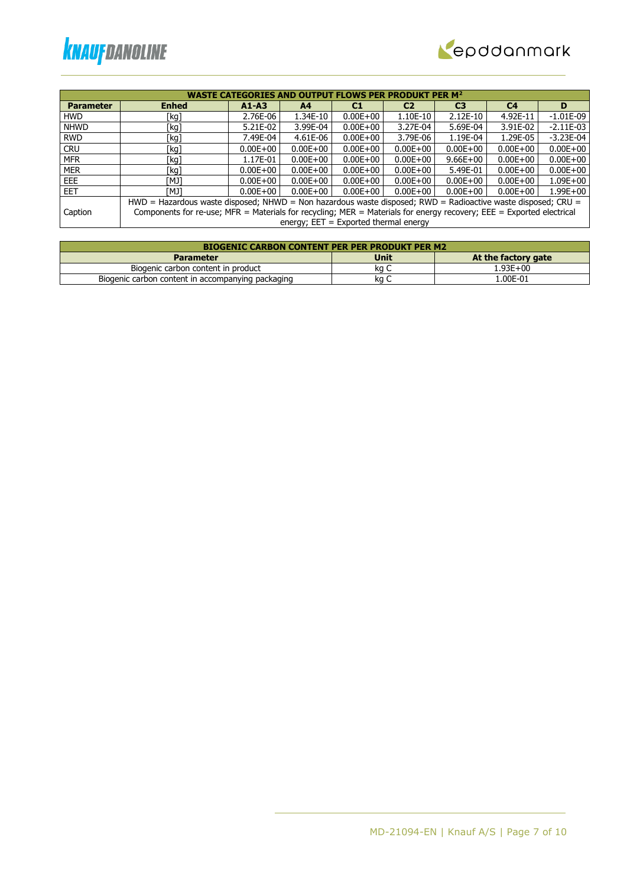



|                  | <b>OUTPUT FLOWS PER PRODUKT PER M<sup>2</sup></b><br><b>WASTE CATEGORIES AND</b> |                                                                                                                                                                 |                |                |                |                |                |              |  |  |  |
|------------------|----------------------------------------------------------------------------------|-----------------------------------------------------------------------------------------------------------------------------------------------------------------|----------------|----------------|----------------|----------------|----------------|--------------|--|--|--|
| <b>Parameter</b> | <b>Enhed</b>                                                                     | $A1 - A3$                                                                                                                                                       | A <sub>4</sub> | C <sub>1</sub> | C <sub>2</sub> | C <sub>3</sub> | C <sub>4</sub> | D            |  |  |  |
| <b>HWD</b>       | [kg]                                                                             | 2.76E-06                                                                                                                                                        | 1.34E-10       | $0.00E + 00$   | 1.10E-10       | $2.12E-10$     | 4.92E-11       | $-1.01E-09$  |  |  |  |
| <b>NHWD</b>      | [kg]                                                                             | 5.21E-02                                                                                                                                                        | 3.99E-04       | $0.00E + 00$   | 3.27E-04       | 5.69E-04       | 3.91E-02       | $-2.11E-03$  |  |  |  |
| <b>RWD</b>       | [kg]                                                                             | 7.49E-04                                                                                                                                                        | 4.61E-06       | $0.00E + 00$   | 3.79E-06       | 1.19E-04       | 1.29E-05       | $-3.23E-04$  |  |  |  |
| <b>CRU</b>       | [kg]                                                                             | $0.00E + 00$                                                                                                                                                    | $0.00E + 00$   | $0.00E + 00$   | $0.00E + 00$   | $0.00E + 00$   | $0.00E + 00$   | $0.00E + 00$ |  |  |  |
| <b>MFR</b>       | [kg]                                                                             | 1.17E-01                                                                                                                                                        | $0.00E + 00$   | $0.00E + 00$   | $0.00E + 00$   | $9.66E + 00$   | $0.00E + 00$   | $0.00E + 00$ |  |  |  |
| <b>MER</b>       | [kg]                                                                             | $0.00E + 00$                                                                                                                                                    | $0.00E + 00$   | $0.00E + 00$   | $0.00E + 00$   | 5.49E-01       | $0.00E + 00$   | $0.00E + 00$ |  |  |  |
| EEE.             | TMJ1                                                                             | $0.00E + 00$                                                                                                                                                    | $0.00E + 00$   | $0.00E + 00$   | $0.00E + 00$   | $0.00E + 00$   | $0.00E + 00$   | $1.09E + 00$ |  |  |  |
| <b>EET</b>       | [MJ]                                                                             | $0.00E + 00$                                                                                                                                                    | $0.00E + 00$   | $0.00E + 00$   | $0.00E + 00$   | $0.00E + 00$   | $0.00E + 00$   | $1.99E + 00$ |  |  |  |
|                  |                                                                                  | HWD = Hazardous waste disposed; NHWD = Non hazardous waste disposed; RWD = Radioactive waste disposed; CRU =                                                    |                |                |                |                |                |              |  |  |  |
| Caption          |                                                                                  |                                                                                                                                                                 |                |                |                |                |                |              |  |  |  |
|                  |                                                                                  | Components for re-use; MFR = Materials for recycling; MER = Materials for energy recovery; EEE = Exported electrical<br>energy; $EET = Exported thermal energy$ |                |                |                |                |                |              |  |  |  |

| <b>BIOGENIC CARBON CONTENT PER PER PRODUKT PER M2</b> |             |                     |  |  |  |  |  |  |
|-------------------------------------------------------|-------------|---------------------|--|--|--|--|--|--|
| <b>Parameter</b>                                      | <b>Unit</b> | At the factory gate |  |  |  |  |  |  |
| Biogenic carbon content in product                    | ka C        | 1.93E+00            |  |  |  |  |  |  |
| Biogenic carbon content in accompanying packaging     | ka          | 1.00E-01            |  |  |  |  |  |  |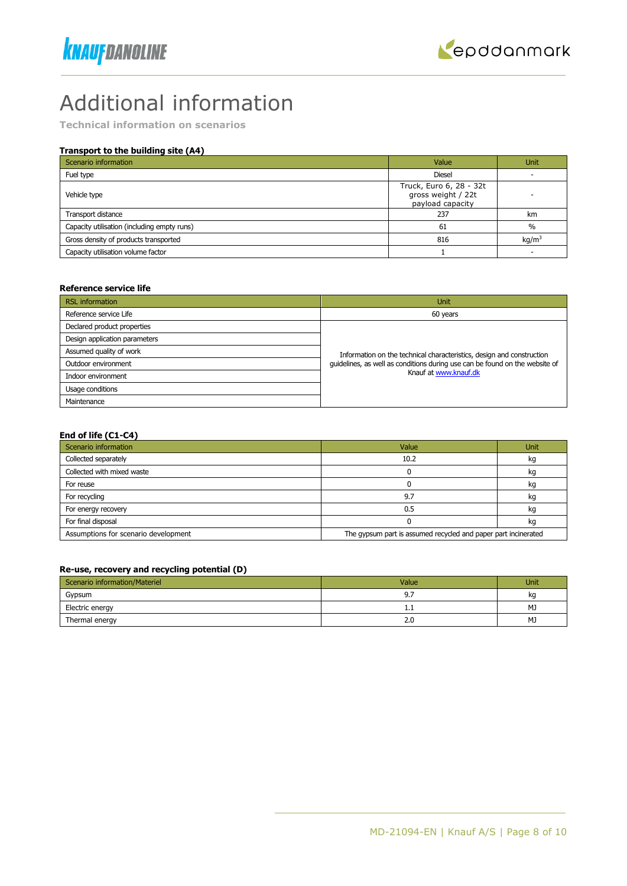# Additional information

**Technical information on scenarios**

### **Transport to the building site (A4)**

| Scenario information                        | Value                                                             | <b>Unit</b>       |
|---------------------------------------------|-------------------------------------------------------------------|-------------------|
| Fuel type                                   | <b>Diesel</b>                                                     |                   |
| Vehicle type                                | Truck, Euro 6, 28 - 32t<br>gross weight / 22t<br>payload capacity |                   |
| Transport distance                          | 237                                                               | km                |
| Capacity utilisation (including empty runs) | 61                                                                | $\%$              |
| Gross density of products transported       | 816                                                               | kq/m <sup>3</sup> |
| Capacity utilisation volume factor          |                                                                   |                   |

#### **Reference service life**

| <b>RSL</b> information        | Unit                                                                        |
|-------------------------------|-----------------------------------------------------------------------------|
| Reference service Life        | 60 years                                                                    |
| Declared product properties   |                                                                             |
| Design application parameters |                                                                             |
| Assumed quality of work       | Information on the technical characteristics, design and construction       |
| Outdoor environment           | guidelines, as well as conditions during use can be found on the website of |
| Indoor environment            | Knauf at www.knauf.dk                                                       |
| Usage conditions              |                                                                             |
| Maintenance                   |                                                                             |

#### **End of life (C1-C4)**

| Scenario information                 | Value                                                          | Unit |
|--------------------------------------|----------------------------------------------------------------|------|
| Collected separately                 | 10.2                                                           | kq   |
| Collected with mixed waste           |                                                                | kg   |
| For reuse                            |                                                                | kg   |
| For recycling                        | 9.7                                                            | kq   |
| For energy recovery                  | 0.5                                                            | kq   |
| For final disposal                   |                                                                | kg   |
| Assumptions for scenario development | The gypsum part is assumed recycled and paper part incinerated |      |

### **Re-use, recovery and recycling potential (D)**

| Scenario information/Materiel | Value    | Unit |
|-------------------------------|----------|------|
| Gypsum                        | <u>.</u> | kq   |
| Electric energy               | ᆠ        | MJ   |
| Thermal energy                | 2.0      | MJ   |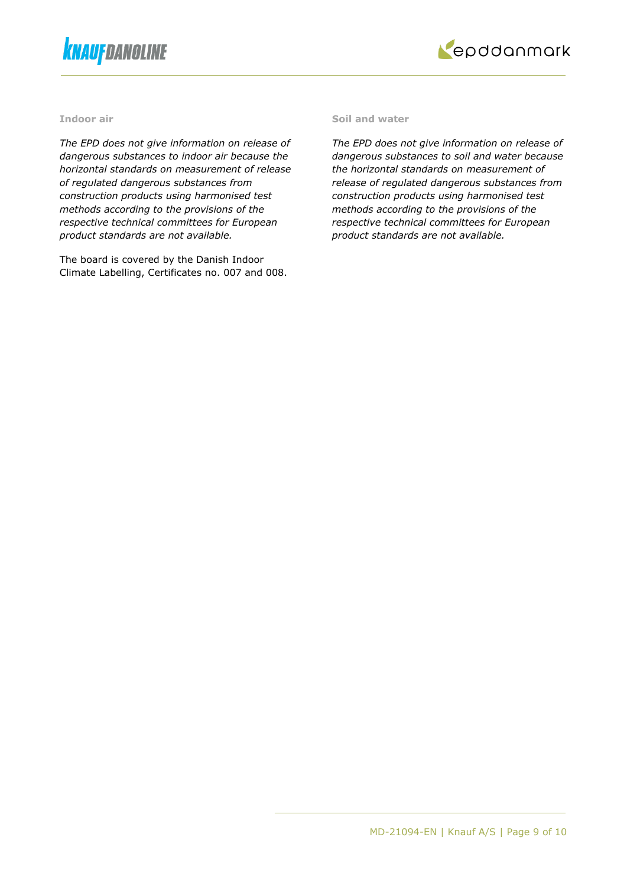



#### **Indoor air**

*The EPD does not give information on release of dangerous substances to indoor air because the horizontal standards on measurement of release of regulated dangerous substances from construction products using harmonised test methods according to the provisions of the respective technical committees for European product standards are not available.*

The board is covered by the Danish Indoor Climate Labelling, Certificates no. 007 and 008.

#### **Soil and water**

*The EPD does not give information on release of dangerous substances to soil and water because the horizontal standards on measurement of release of regulated dangerous substances from construction products using harmonised test methods according to the provisions of the respective technical committees for European product standards are not available.*